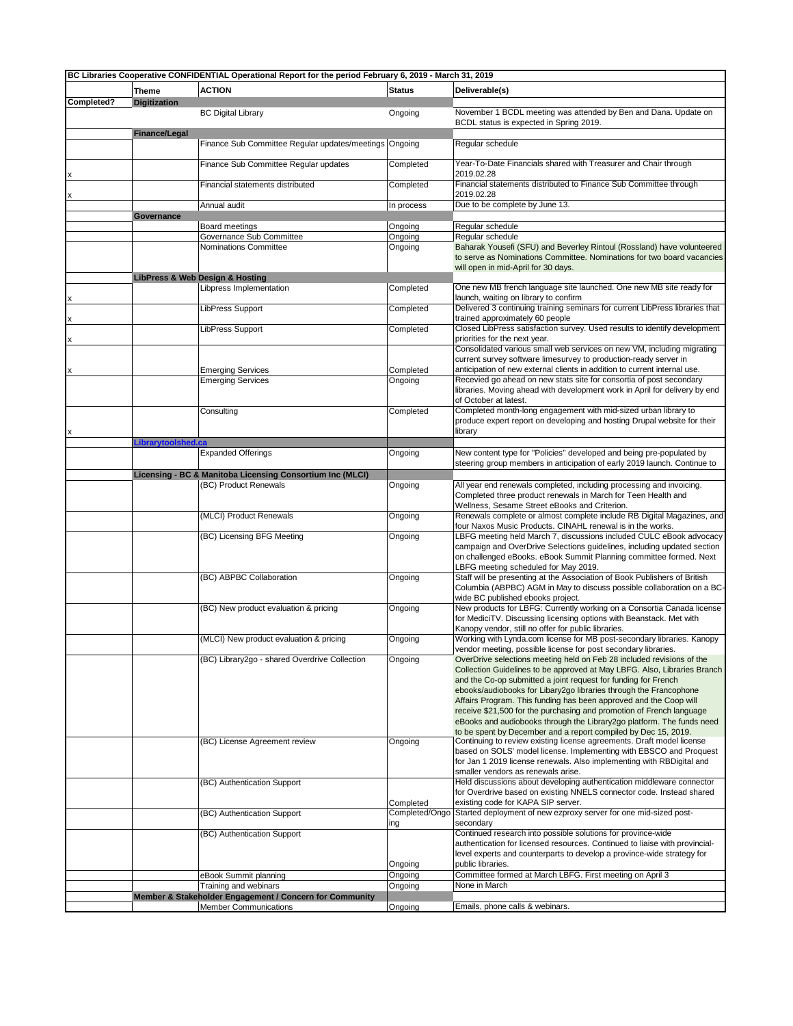| BC Libraries Cooperative CONFIDENTIAL Operational Report for the period February 6, 2019 - March 31, 2019 |                     |                                                                                  |                      |                                                                                                                                               |
|-----------------------------------------------------------------------------------------------------------|---------------------|----------------------------------------------------------------------------------|----------------------|-----------------------------------------------------------------------------------------------------------------------------------------------|
|                                                                                                           | <b>Theme</b>        | <b>ACTION</b>                                                                    | <b>Status</b>        | Deliverable(s)                                                                                                                                |
| Completed?                                                                                                | <b>Digitization</b> |                                                                                  |                      |                                                                                                                                               |
|                                                                                                           |                     | <b>BC Digital Library</b>                                                        | Ongoing              | November 1 BCDL meeting was attended by Ben and Dana. Update on                                                                               |
|                                                                                                           |                     |                                                                                  |                      | BCDL status is expected in Spring 2019.                                                                                                       |
|                                                                                                           | Finance/Legal       |                                                                                  |                      |                                                                                                                                               |
|                                                                                                           |                     | Finance Sub Committee Regular updates/meetings                                   | Ongoing              | Regular schedule                                                                                                                              |
|                                                                                                           |                     | Finance Sub Committee Regular updates                                            | Completed            | Year-To-Date Financials shared with Treasurer and Chair through                                                                               |
|                                                                                                           |                     |                                                                                  |                      | 2019.02.28                                                                                                                                    |
|                                                                                                           |                     | Financial statements distributed                                                 | Completed            | Financial statements distributed to Finance Sub Committee through                                                                             |
|                                                                                                           |                     |                                                                                  |                      | 2019.02.28                                                                                                                                    |
|                                                                                                           |                     | Annual audit                                                                     | In process           | Due to be complete by June 13.                                                                                                                |
|                                                                                                           | Governance          |                                                                                  |                      |                                                                                                                                               |
|                                                                                                           |                     | Board meetings<br>Governance Sub Committee                                       | Ongoing<br>Ongoing   | Regular schedule<br>Regular schedule                                                                                                          |
|                                                                                                           |                     | Nominations Committee                                                            | Ongoing              | Baharak Yousefi (SFU) and Beverley Rintoul (Rossland) have volunteered                                                                        |
|                                                                                                           |                     |                                                                                  |                      | to serve as Nominations Committee. Nominations for two board vacancies                                                                        |
|                                                                                                           |                     |                                                                                  |                      | will open in mid-April for 30 days.                                                                                                           |
|                                                                                                           |                     | LibPress & Web Design & Hosting                                                  |                      |                                                                                                                                               |
|                                                                                                           |                     | Libpress Implementation                                                          | Completed            | One new MB french language site launched. One new MB site ready for                                                                           |
|                                                                                                           |                     | <b>LibPress Support</b>                                                          | Completed            | launch, waiting on library to confirm<br>Delivered 3 continuing training seminars for current LibPress libraries that                         |
|                                                                                                           |                     |                                                                                  |                      | trained approximately 60 people                                                                                                               |
|                                                                                                           |                     | <b>LibPress Support</b>                                                          | Completed            | Closed LibPress satisfaction survey. Used results to identify development                                                                     |
|                                                                                                           |                     |                                                                                  |                      | priorities for the next year.                                                                                                                 |
|                                                                                                           |                     |                                                                                  |                      | Consolidated various small web services on new VM, including migrating                                                                        |
|                                                                                                           |                     |                                                                                  |                      | current survey software limesurvey to production-ready server in<br>anticipation of new external clients in addition to current internal use. |
|                                                                                                           |                     | <b>Emerging Services</b><br><b>Emerging Services</b>                             | Completed<br>Ongoing | Recevied go ahead on new stats site for consortia of post secondary                                                                           |
|                                                                                                           |                     |                                                                                  |                      | libraries. Moving ahead with development work in April for delivery by end                                                                    |
|                                                                                                           |                     |                                                                                  |                      | of October at latest.                                                                                                                         |
|                                                                                                           |                     | Consulting                                                                       | Completed            | Completed month-long engagement with mid-sized urban library to                                                                               |
|                                                                                                           |                     |                                                                                  |                      | produce expert report on developing and hosting Drupal website for their                                                                      |
|                                                                                                           |                     |                                                                                  |                      | library                                                                                                                                       |
|                                                                                                           | Librarytoolshed.ca  | <b>Expanded Offerings</b>                                                        |                      | New content type for "Policies" developed and being pre-populated by                                                                          |
|                                                                                                           |                     |                                                                                  | Ongoing              | steering group members in anticipation of early 2019 launch. Continue to                                                                      |
|                                                                                                           |                     | Licensing - BC & Manitoba Licensing Consortium Inc (MLCI)                        |                      |                                                                                                                                               |
|                                                                                                           |                     | (BC) Product Renewals                                                            | Ongoing              | All year end renewals completed, including processing and invoicing.                                                                          |
|                                                                                                           |                     |                                                                                  |                      | Completed three product renewals in March for Teen Health and                                                                                 |
|                                                                                                           |                     |                                                                                  |                      | Wellness, Sesame Street eBooks and Criterion.                                                                                                 |
|                                                                                                           |                     | (MLCI) Product Renewals                                                          | Ongoing              | Renewals complete or almost complete include RB Digital Magazines, and                                                                        |
|                                                                                                           |                     | (BC) Licensing BFG Meeting                                                       |                      | four Naxos Music Products. CINAHL renewal is in the works.<br>LBFG meeting held March 7, discussions included CULC eBook advocacy             |
|                                                                                                           |                     |                                                                                  | Ongoing              | campaign and OverDrive Selections guidelines, including updated section                                                                       |
|                                                                                                           |                     |                                                                                  |                      | on challenged eBooks. eBook Summit Planning committee formed. Next                                                                            |
|                                                                                                           |                     |                                                                                  |                      | LBFG meeting scheduled for May 2019.                                                                                                          |
|                                                                                                           |                     | (BC) ABPBC Collaboration                                                         | Ongoing              | Staff will be presenting at the Association of Book Publishers of British                                                                     |
|                                                                                                           |                     |                                                                                  |                      | Columbia (ABPBC) AGM in May to discuss possible collaboration on a BC-                                                                        |
|                                                                                                           |                     | (BC) New product evaluation & pricing                                            | Ongoing              | wide BC published ebooks project.<br>New products for LBFG: Currently working on a Consortia Canada license                                   |
|                                                                                                           |                     |                                                                                  |                      | for MediciTV. Discussing licensing options with Beanstack. Met with                                                                           |
|                                                                                                           |                     |                                                                                  |                      | Kanopy vendor, still no offer for public libraries.                                                                                           |
|                                                                                                           |                     | (MLCI) New product evaluation & pricing                                          | Ongoing              | Working with Lynda.com license for MB post-secondary libraries. Kanopy                                                                        |
|                                                                                                           |                     |                                                                                  |                      | vendor meeting, possible license for post secondary libraries.                                                                                |
|                                                                                                           |                     | (BC) Library2go - shared Overdrive Collection                                    | Ongoing              | OverDrive selections meeting held on Feb 28 included revisions of the                                                                         |
|                                                                                                           |                     |                                                                                  |                      | Collection Guidelines to be approved at May LBFG. Also, Libraries Branch                                                                      |
|                                                                                                           |                     |                                                                                  |                      | and the Co-op submitted a joint request for funding for French<br>ebooks/audiobooks for Libary2go libraries through the Francophone           |
|                                                                                                           |                     |                                                                                  |                      | Affairs Program. This funding has been approved and the Coop will                                                                             |
|                                                                                                           |                     |                                                                                  |                      | receive \$21,500 for the purchasing and promotion of French language                                                                          |
|                                                                                                           |                     |                                                                                  |                      | eBooks and audiobooks through the Library2go platform. The funds need                                                                         |
|                                                                                                           |                     |                                                                                  |                      | to be spent by December and a report compiled by Dec 15, 2019.                                                                                |
|                                                                                                           |                     | (BC) License Agreement review                                                    | Ongoing              | Continuing to review existing license agreements. Draft model license<br>based on SOLS' model license. Implementing with EBSCO and Proquest   |
|                                                                                                           |                     |                                                                                  |                      | for Jan 1 2019 license renewals. Also implementing with RBDigital and                                                                         |
|                                                                                                           |                     |                                                                                  |                      | smaller vendors as renewals arise.                                                                                                            |
|                                                                                                           |                     | (BC) Authentication Support                                                      |                      | Held discussions about developing authentication middleware connector                                                                         |
|                                                                                                           |                     |                                                                                  |                      | for Overdrive based on existing NNELS connector code. Instead shared                                                                          |
|                                                                                                           |                     |                                                                                  | Completed            | existing code for KAPA SIP server.                                                                                                            |
|                                                                                                           |                     | (BC) Authentication Support                                                      | Completed/Ongo       | Started deployment of new ezproxy server for one mid-sized post-<br>secondary                                                                 |
|                                                                                                           |                     | (BC) Authentication Support                                                      | ing                  | Continued research into possible solutions for province-wide                                                                                  |
|                                                                                                           |                     |                                                                                  |                      | authentication for licensed resources. Continued to liaise with provincial-                                                                   |
|                                                                                                           |                     |                                                                                  |                      | level experts and counterparts to develop a province-wide strategy for                                                                        |
|                                                                                                           |                     |                                                                                  | Ongoing              | public libraries.                                                                                                                             |
|                                                                                                           |                     | eBook Summit planning                                                            | Ongoing              | Committee formed at March LBFG. First meeting on April 3                                                                                      |
|                                                                                                           |                     | Training and webinars<br>Member & Stakeholder Engagement / Concern for Community | Ongoing              | None in March                                                                                                                                 |
|                                                                                                           |                     | <b>Member Communications</b>                                                     | Ongoing              | Emails, phone calls & webinars.                                                                                                               |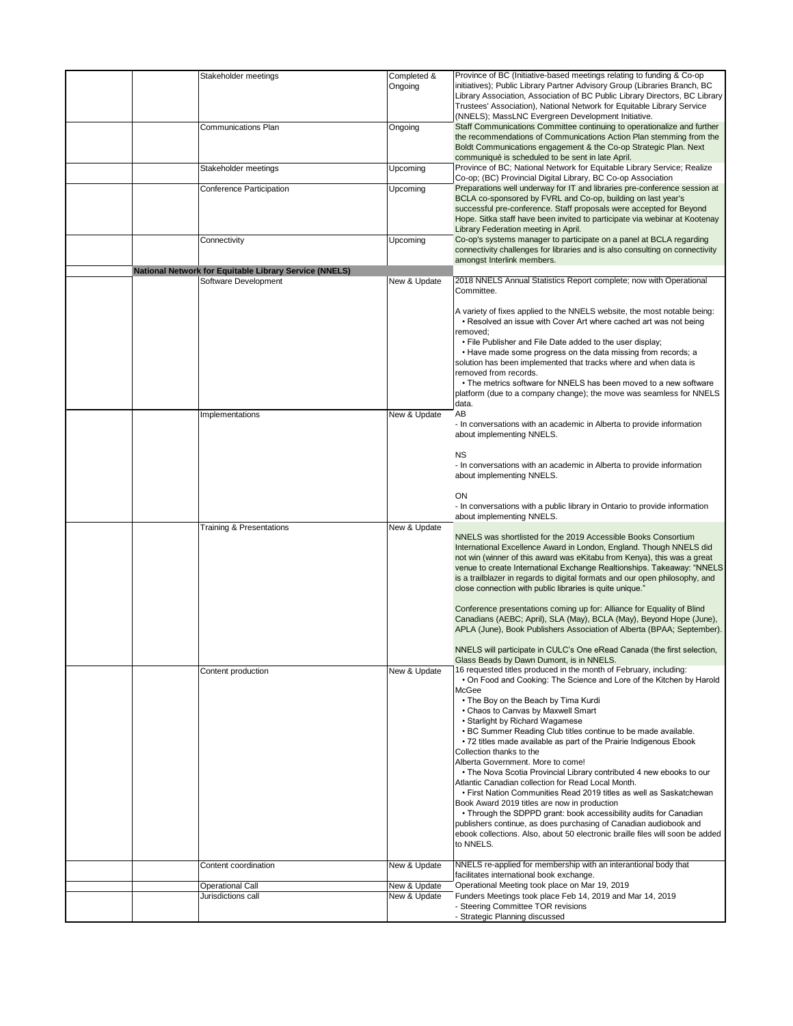|                                                                                |                        | Province of BC (Initiative-based meetings relating to funding & Co-op                                                                                                                                                                                                                                                                                                                                                                 |
|--------------------------------------------------------------------------------|------------------------|---------------------------------------------------------------------------------------------------------------------------------------------------------------------------------------------------------------------------------------------------------------------------------------------------------------------------------------------------------------------------------------------------------------------------------------|
| Stakeholder meetings                                                           | Completed &<br>Ongoing | initiatives); Public Library Partner Advisory Group (Libraries Branch, BC<br>Library Association, Association of BC Public Library Directors, BC Library<br>Trustees' Association), National Network for Equitable Library Service                                                                                                                                                                                                    |
|                                                                                |                        | (NNELS); MassLNC Evergreen Development Initiative.                                                                                                                                                                                                                                                                                                                                                                                    |
| <b>Communications Plan</b>                                                     | Ongoing                | Staff Communications Committee continuing to operationalize and further<br>the recommendations of Communications Action Plan stemming from the<br>Boldt Communications engagement & the Co-op Strategic Plan. Next                                                                                                                                                                                                                    |
|                                                                                |                        | communiqué is scheduled to be sent in late April.                                                                                                                                                                                                                                                                                                                                                                                     |
| Stakeholder meetings                                                           | Upcoming               | Province of BC; National Network for Equitable Library Service; Realize                                                                                                                                                                                                                                                                                                                                                               |
|                                                                                |                        | Co-op; (BC) Provincial Digital Library, BC Co-op Association<br>Preparations well underway for IT and libraries pre-conference session at                                                                                                                                                                                                                                                                                             |
| Conference Participation                                                       | Upcoming               | BCLA co-sponsored by FVRL and Co-op, building on last year's<br>successful pre-conference. Staff proposals were accepted for Beyond                                                                                                                                                                                                                                                                                                   |
|                                                                                |                        | Hope. Sitka staff have been invited to participate via webinar at Kootenay<br>Library Federation meeting in April.                                                                                                                                                                                                                                                                                                                    |
| Connectivity                                                                   | Upcoming               | Co-op's systems manager to participate on a panel at BCLA regarding<br>connectivity challenges for libraries and is also consulting on connectivity                                                                                                                                                                                                                                                                                   |
|                                                                                |                        | amongst Interlink members.                                                                                                                                                                                                                                                                                                                                                                                                            |
| National Network for Equitable Library Service (NNELS)<br>Software Development | New & Update           | 2018 NNELS Annual Statistics Report complete; now with Operational<br>Committee.                                                                                                                                                                                                                                                                                                                                                      |
|                                                                                |                        | A variety of fixes applied to the NNELS website, the most notable being:<br>• Resolved an issue with Cover Art where cached art was not being                                                                                                                                                                                                                                                                                         |
|                                                                                |                        | removed;<br>• File Publisher and File Date added to the user display;                                                                                                                                                                                                                                                                                                                                                                 |
|                                                                                |                        | . Have made some progress on the data missing from records; a<br>solution has been implemented that tracks where and when data is<br>removed from records.                                                                                                                                                                                                                                                                            |
|                                                                                |                        | • The metrics software for NNELS has been moved to a new software<br>platform (due to a company change); the move was seamless for NNELS<br>data.                                                                                                                                                                                                                                                                                     |
| Implementations                                                                | New & Update           | AB                                                                                                                                                                                                                                                                                                                                                                                                                                    |
|                                                                                |                        | - In conversations with an academic in Alberta to provide information<br>about implementing NNELS.                                                                                                                                                                                                                                                                                                                                    |
|                                                                                |                        | <b>NS</b>                                                                                                                                                                                                                                                                                                                                                                                                                             |
|                                                                                |                        | - In conversations with an academic in Alberta to provide information<br>about implementing NNELS.                                                                                                                                                                                                                                                                                                                                    |
|                                                                                |                        | ON                                                                                                                                                                                                                                                                                                                                                                                                                                    |
|                                                                                |                        | - In conversations with a public library in Ontario to provide information                                                                                                                                                                                                                                                                                                                                                            |
|                                                                                |                        | about implementing NNELS.                                                                                                                                                                                                                                                                                                                                                                                                             |
| <b>Training &amp; Presentations</b>                                            | New & Update           | NNELS was shortlisted for the 2019 Accessible Books Consortium<br>International Excellence Award in London, England. Though NNELS did<br>not win (winner of this award was eKitabu from Kenya), this was a great<br>venue to create International Exchange Realtionships. Takeaway: "NNELS<br>is a trailblazer in regards to digital formats and our open philosophy, and<br>close connection with public libraries is quite unique." |
|                                                                                |                        | Conference presentations coming up for: Alliance for Equality of Blind<br>Canadians (AEBC; April), SLA (May), BCLA (May), Beyond Hope (June),<br>APLA (June), Book Publishers Association of Alberta (BPAA; September).                                                                                                                                                                                                               |
|                                                                                |                        | NNELS will participate in CULC's One eRead Canada (the first selection,<br>Glass Beads by Dawn Dumont, is in NNELS.                                                                                                                                                                                                                                                                                                                   |
| Content production                                                             | New & Update           | 16 requested titles produced in the month of February, including:<br>. On Food and Cooking: The Science and Lore of the Kitchen by Harold<br>McGee                                                                                                                                                                                                                                                                                    |
|                                                                                |                        | • The Boy on the Beach by Tima Kurdi<br>• Chaos to Canvas by Maxwell Smart<br>• Starlight by Richard Wagamese<br>. BC Summer Reading Club titles continue to be made available.<br>• 72 titles made available as part of the Prairie Indigenous Ebook<br>Collection thanks to the<br>Alberta Government. More to come!                                                                                                                |
|                                                                                |                        | • The Nova Scotia Provincial Library contributed 4 new ebooks to our<br>Atlantic Canadian collection for Read Local Month.<br>. First Nation Communities Read 2019 titles as well as Saskatchewan                                                                                                                                                                                                                                     |
|                                                                                |                        | Book Award 2019 titles are now in production<br>• Through the SDPPD grant: book accessibility audits for Canadian<br>publishers continue, as does purchasing of Canadian audiobook and                                                                                                                                                                                                                                                |
|                                                                                |                        | ebook collections. Also, about 50 electronic braille files will soon be added<br>to NNELS.                                                                                                                                                                                                                                                                                                                                            |
| Content coordination                                                           | New & Update           | NNELS re-applied for membership with an interantional body that<br>facilitates international book exchange.                                                                                                                                                                                                                                                                                                                           |
| <b>Operational Call</b>                                                        | New & Update           | Operational Meeting took place on Mar 19, 2019                                                                                                                                                                                                                                                                                                                                                                                        |
| Jurisdictions call                                                             | New & Update           | Funders Meetings took place Feb 14, 2019 and Mar 14, 2019<br>- Steering Committee TOR revisions                                                                                                                                                                                                                                                                                                                                       |
|                                                                                |                        | - Strategic Planning discussed                                                                                                                                                                                                                                                                                                                                                                                                        |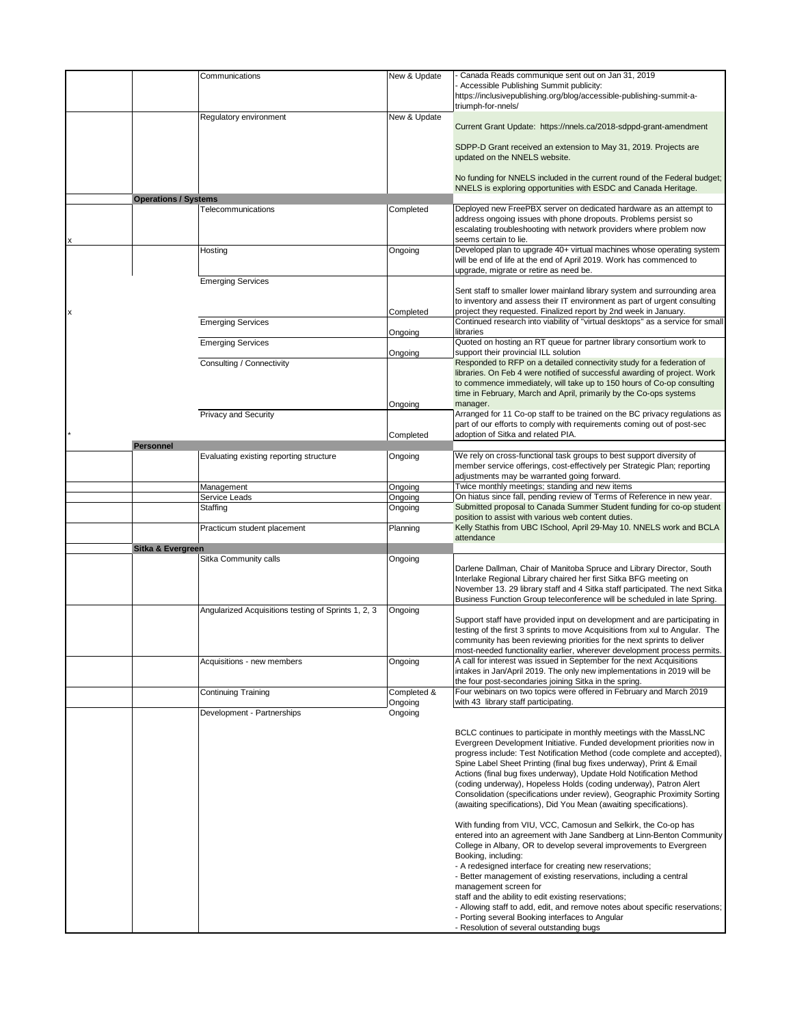|   |                             | Communications                                      | New & Update | - Canada Reads communique sent out on Jan 31, 2019                                                                                                   |
|---|-----------------------------|-----------------------------------------------------|--------------|------------------------------------------------------------------------------------------------------------------------------------------------------|
|   |                             |                                                     |              | - Accessible Publishing Summit publicity:                                                                                                            |
|   |                             |                                                     |              | https://inclusivepublishing.org/blog/accessible-publishing-summit-a-                                                                                 |
|   |                             |                                                     |              | triumph-for-nnels/                                                                                                                                   |
|   |                             | Regulatory environment                              | New & Update | Current Grant Update: https://nnels.ca/2018-sdppd-grant-amendment                                                                                    |
|   |                             |                                                     |              |                                                                                                                                                      |
|   |                             |                                                     |              | SDPP-D Grant received an extension to May 31, 2019. Projects are                                                                                     |
|   |                             |                                                     |              | updated on the NNELS website.                                                                                                                        |
|   |                             |                                                     |              |                                                                                                                                                      |
|   |                             |                                                     |              | No funding for NNELS included in the current round of the Federal budget;                                                                            |
|   |                             |                                                     |              | NNELS is exploring opportunities with ESDC and Canada Heritage.                                                                                      |
|   | <b>Operations / Systems</b> |                                                     |              |                                                                                                                                                      |
|   |                             | Telecommunications                                  | Completed    | Deployed new FreePBX server on dedicated hardware as an attempt to                                                                                   |
|   |                             |                                                     |              | address ongoing issues with phone dropouts. Problems persist so                                                                                      |
|   |                             |                                                     |              | escalating troubleshooting with network providers where problem now                                                                                  |
|   |                             |                                                     |              | seems certain to lie.                                                                                                                                |
|   |                             | Hosting                                             | Ongoing      | Developed plan to upgrade 40+ virtual machines whose operating system<br>will be end of life at the end of April 2019. Work has commenced to         |
|   |                             |                                                     |              |                                                                                                                                                      |
|   |                             | <b>Emerging Services</b>                            |              | upgrade, migrate or retire as need be.                                                                                                               |
|   |                             |                                                     |              | Sent staff to smaller lower mainland library system and surrounding area                                                                             |
|   |                             |                                                     |              | to inventory and assess their IT environment as part of urgent consulting                                                                            |
| X |                             |                                                     | Completed    | project they requested. Finalized report by 2nd week in January.                                                                                     |
|   |                             | <b>Emerging Services</b>                            |              | Continued research into viability of "virtual desktops" as a service for small                                                                       |
|   |                             |                                                     | Ongoing      | libraries                                                                                                                                            |
|   |                             | <b>Emerging Services</b>                            |              | Quoted on hosting an RT queue for partner library consortium work to                                                                                 |
|   |                             |                                                     | Ongoing      | support their provincial ILL solution                                                                                                                |
|   |                             | Consulting / Connectivity                           |              | Responded to RFP on a detailed connectivity study for a federation of                                                                                |
|   |                             |                                                     |              | libraries. On Feb 4 were notified of successful awarding of project. Work                                                                            |
|   |                             |                                                     |              | to commence immediately, will take up to 150 hours of Co-op consulting                                                                               |
|   |                             |                                                     |              | time in February, March and April, primarily by the Co-ops systems                                                                                   |
|   |                             |                                                     | Ongoing      | manager.                                                                                                                                             |
|   |                             | <b>Privacy and Security</b>                         |              | Arranged for 11 Co-op staff to be trained on the BC privacy regulations as<br>part of our efforts to comply with requirements coming out of post-sec |
|   |                             |                                                     | Completed    | adoption of Sitka and related PIA.                                                                                                                   |
|   | <b>Personnel</b>            |                                                     |              |                                                                                                                                                      |
|   |                             | Evaluating existing reporting structure             | Ongoing      | We rely on cross-functional task groups to best support diversity of                                                                                 |
|   |                             |                                                     |              | member service offerings, cost-effectively per Strategic Plan; reporting                                                                             |
|   |                             |                                                     |              | adjustments may be warranted going forward.                                                                                                          |
|   |                             | Management                                          | Ongoing      | Twice monthly meetings; standing and new items                                                                                                       |
|   |                             | Service Leads                                       | Ongoing      | On hiatus since fall, pending review of Terms of Reference in new year.                                                                              |
|   |                             | Staffing                                            | Ongoing      | Submitted proposal to Canada Summer Student funding for co-op student                                                                                |
|   |                             |                                                     |              | position to assist with various web content duties.                                                                                                  |
|   |                             | Practicum student placement                         | Planning     | Kelly Stathis from UBC ISchool, April 29-May 10. NNELS work and BCLA                                                                                 |
|   |                             |                                                     |              | attendance                                                                                                                                           |
|   | Sitka & Evergreen           |                                                     |              |                                                                                                                                                      |
|   |                             | Sitka Community calls                               | Ongoing      | Darlene Dallman, Chair of Manitoba Spruce and Library Director, South                                                                                |
|   |                             |                                                     |              | Interlake Regional Library chaired her first Sitka BFG meeting on                                                                                    |
|   |                             |                                                     |              | November 13. 29 library staff and 4 Sitka staff participated. The next Sitka                                                                         |
|   |                             |                                                     |              | Business Function Group teleconference will be scheduled in late Spring.                                                                             |
|   |                             | Angularized Acquisitions testing of Sprints 1, 2, 3 | Ongoing      |                                                                                                                                                      |
|   |                             |                                                     |              | Support staff have provided input on development and are participating in                                                                            |
|   |                             |                                                     |              | testing of the first 3 sprints to move Acquisitions from xul to Angular. The                                                                         |
|   |                             |                                                     |              | community has been reviewing priorities for the next sprints to deliver                                                                              |
|   |                             |                                                     |              | most-needed functionality earlier, wherever development process permits.                                                                             |
|   |                             | Acquisitions - new members                          | Ongoing      | A call for interest was issued in September for the next Acquisitions                                                                                |
|   |                             |                                                     |              | intakes in Jan/April 2019. The only new implementations in 2019 will be                                                                              |
|   |                             | <b>Continuing Training</b>                          | Completed &  | the four post-secondaries joining Sitka in the spring.<br>Four webinars on two topics were offered in February and March 2019                        |
|   |                             |                                                     | Ongoing      | with 43 library staff participating.                                                                                                                 |
|   |                             | Development - Partnerships                          | Ongoing      |                                                                                                                                                      |
|   |                             |                                                     |              |                                                                                                                                                      |
|   |                             |                                                     |              | BCLC continues to participate in monthly meetings with the MassLNC                                                                                   |
|   |                             |                                                     |              | Evergreen Development Initiative. Funded development priorities now in                                                                               |
|   |                             |                                                     |              | progress include: Test Notification Method (code complete and accepted),                                                                             |
|   |                             |                                                     |              | Spine Label Sheet Printing (final bug fixes underway), Print & Email                                                                                 |
|   |                             |                                                     |              | Actions (final bug fixes underway), Update Hold Notification Method                                                                                  |
|   |                             |                                                     |              | (coding underway), Hopeless Holds (coding underway), Patron Alert                                                                                    |
|   |                             |                                                     |              | Consolidation (specifications under review), Geographic Proximity Sorting                                                                            |
|   |                             |                                                     |              | (awaiting specifications), Did You Mean (awaiting specifications).                                                                                   |
|   |                             |                                                     |              |                                                                                                                                                      |
|   |                             |                                                     |              | With funding from VIU, VCC, Camosun and Selkirk, the Co-op has                                                                                       |
|   |                             |                                                     |              | entered into an agreement with Jane Sandberg at Linn-Benton Community                                                                                |
|   |                             |                                                     |              | College in Albany, OR to develop several improvements to Evergreen<br>Booking, including:                                                            |
|   |                             |                                                     |              | - A redesigned interface for creating new reservations;                                                                                              |
|   |                             |                                                     |              | - Better management of existing reservations, including a central                                                                                    |
|   |                             |                                                     |              | management screen for                                                                                                                                |
|   |                             |                                                     |              | staff and the ability to edit existing reservations;                                                                                                 |
|   |                             |                                                     |              | - Allowing staff to add, edit, and remove notes about specific reservations;                                                                         |
|   |                             |                                                     |              | - Porting several Booking interfaces to Angular                                                                                                      |
|   |                             |                                                     |              | - Resolution of several outstanding bugs                                                                                                             |